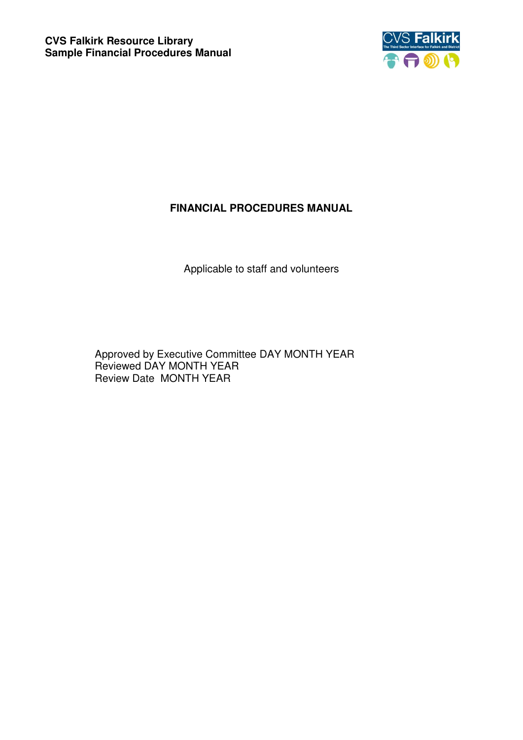

# **FINANCIAL PROCEDURES MANUAL**

Applicable to staff and volunteers

Approved by Executive Committee DAY MONTH YEAR Reviewed DAY MONTH YEAR Review Date MONTH YEAR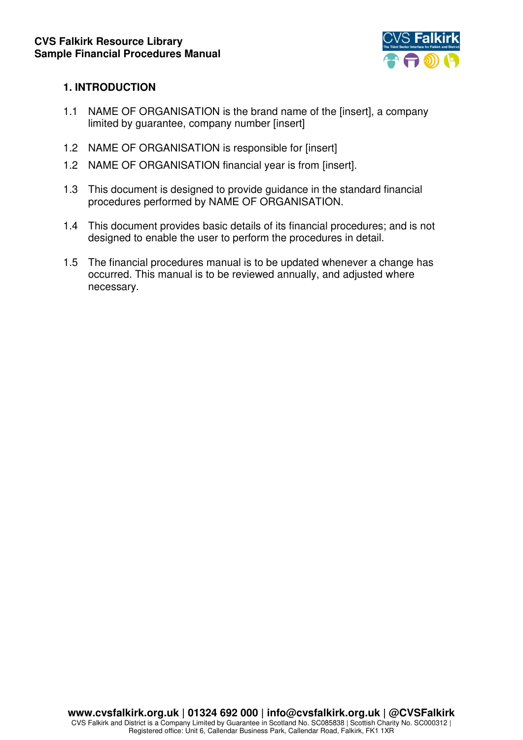

### **1. INTRODUCTION**

- 1.1 NAME OF ORGANISATION is the brand name of the [insert], a company limited by guarantee, company number [insert]
- 1.2 NAME OF ORGANISATION is responsible for [insert]
- 1.2 NAME OF ORGANISATION financial year is from [insert].
- 1.3 This document is designed to provide guidance in the standard financial procedures performed by NAME OF ORGANISATION.
- 1.4 This document provides basic details of its financial procedures; and is not designed to enable the user to perform the procedures in detail.
- 1.5 The financial procedures manual is to be updated whenever a change has occurred. This manual is to be reviewed annually, and adjusted where necessary.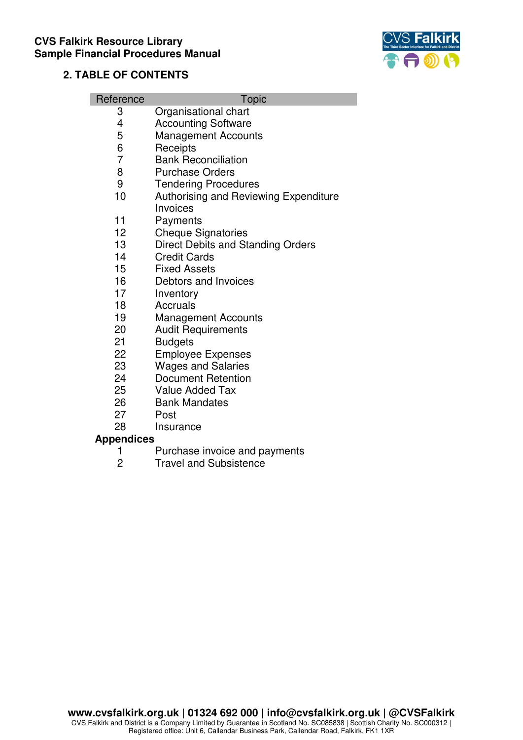

### **2. TABLE OF CONTENTS**

| Reference | <b>Topic</b> |
|-----------|--------------|
|           |              |

- 3 Organisational chart<br>4 Accounting Software
- 4 Accounting Software<br>5 Management Accoun
- 5 Management Accounts<br>6 Receipts
- 6 Receipts<br>7 Bank Rec
- 7 Bank Reconciliation<br>8 Purchase Orders
- **Purchase Orders**
- 9 Tendering Procedures
- 10 Authorising and Reviewing Expenditure **Invoices**
- 11 Payments
- 12 Cheque Signatories
- 13 Direct Debits and Standing Orders
- 14 Credit Cards
- 15 Fixed Assets
- 16 Debtors and Invoices
- 17 Inventory<br>18 Accruals
- **Accruals**
- 19 Management Accounts
- 20 Audit Requirements
- 21 Budgets<br>22 Emplove
- **Employee Expenses**
- 23 Wages and Salaries
- 24 Document Retention
- 25 Value Added Tax
- 26 Bank Mandates
- 27 Post
- 28 Insurance

#### **Appendices**

- 1 Purchase invoice and payments
- 2 Travel and Subsistence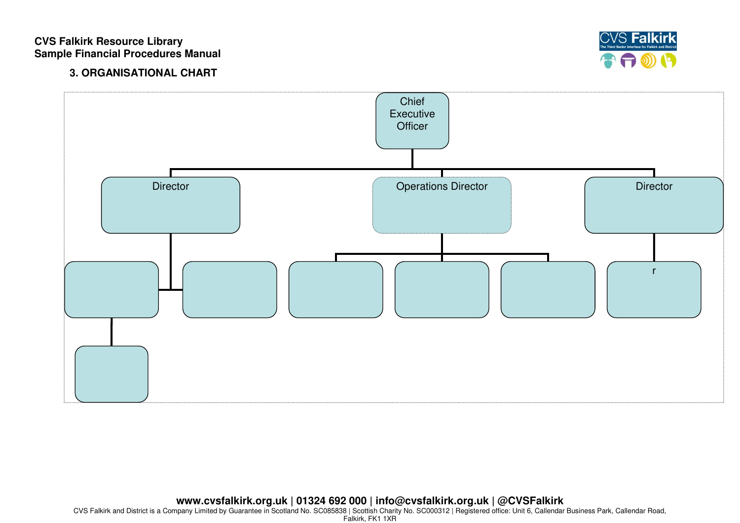

## **3. ORGANISATIONAL CHART**



**www.cvsfalkirk.org.uk | 01324 692 000 | info@cvsfalkirk.org.uk | @CVSFalkirk** 

CVS Falkirk and District is a Company Limited by Guarantee in Scotland No. SC085838 | Scottish Charity No. SC000312 | Registered office: Unit 6, Callendar Business Park, Callendar Road, Falkirk, FK1 1XR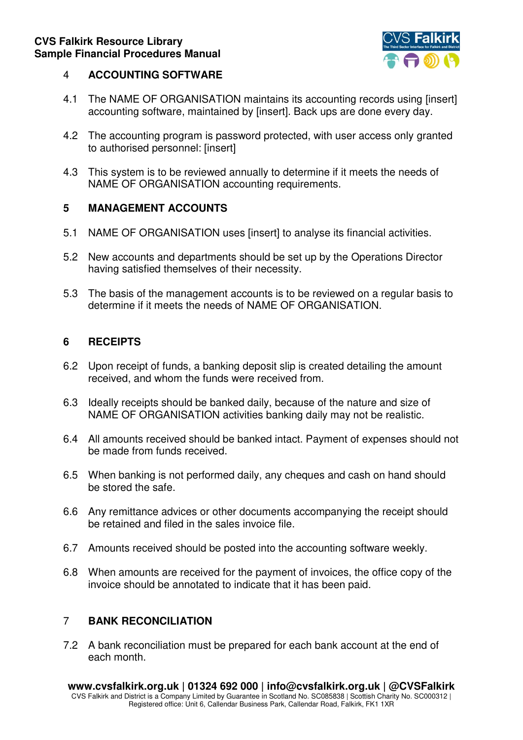

### 4 **ACCOUNTING SOFTWARE**

- 4.1 The NAME OF ORGANISATION maintains its accounting records using [insert] accounting software, maintained by [insert]. Back ups are done every day.
- 4.2 The accounting program is password protected, with user access only granted to authorised personnel: [insert]
- 4.3 This system is to be reviewed annually to determine if it meets the needs of NAME OF ORGANISATION accounting requirements.

## **5 MANAGEMENT ACCOUNTS**

- 5.1 NAME OF ORGANISATION uses [insert] to analyse its financial activities.
- 5.2 New accounts and departments should be set up by the Operations Director having satisfied themselves of their necessity.
- 5.3 The basis of the management accounts is to be reviewed on a regular basis to determine if it meets the needs of NAME OF ORGANISATION.

## **6 RECEIPTS**

- 6.2 Upon receipt of funds, a banking deposit slip is created detailing the amount received, and whom the funds were received from.
- 6.3 Ideally receipts should be banked daily, because of the nature and size of NAME OF ORGANISATION activities banking daily may not be realistic.
- 6.4 All amounts received should be banked intact. Payment of expenses should not be made from funds received.
- 6.5 When banking is not performed daily, any cheques and cash on hand should be stored the safe.
- 6.6 Any remittance advices or other documents accompanying the receipt should be retained and filed in the sales invoice file.
- 6.7 Amounts received should be posted into the accounting software weekly.
- 6.8 When amounts are received for the payment of invoices, the office copy of the invoice should be annotated to indicate that it has been paid.

## 7 **BANK RECONCILIATION**

7.2 A bank reconciliation must be prepared for each bank account at the end of each month.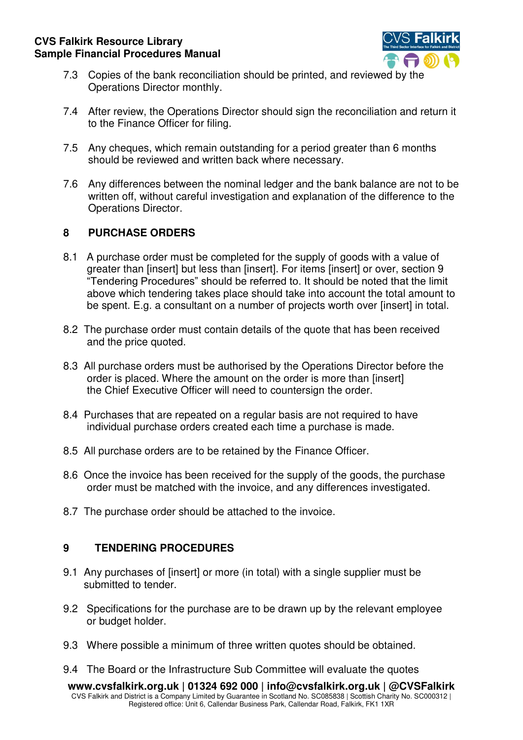

- 7.3 Copies of the bank reconciliation should be printed, and reviewed by the Operations Director monthly.
- 7.4 After review, the Operations Director should sign the reconciliation and return it to the Finance Officer for filing.
- 7.5 Any cheques, which remain outstanding for a period greater than 6 months should be reviewed and written back where necessary.
- 7.6 Any differences between the nominal ledger and the bank balance are not to be written off, without careful investigation and explanation of the difference to the Operations Director.

## **8 PURCHASE ORDERS**

- 8.1 A purchase order must be completed for the supply of goods with a value of greater than [insert] but less than [insert]. For items [insert] or over, section 9 "Tendering Procedures" should be referred to. It should be noted that the limit above which tendering takes place should take into account the total amount to be spent. E.g. a consultant on a number of projects worth over [insert] in total.
- 8.2 The purchase order must contain details of the quote that has been received and the price quoted.
- 8.3 All purchase orders must be authorised by the Operations Director before the order is placed. Where the amount on the order is more than [insert] the Chief Executive Officer will need to countersign the order.
- 8.4 Purchases that are repeated on a regular basis are not required to have individual purchase orders created each time a purchase is made.
- 8.5 All purchase orders are to be retained by the Finance Officer.
- 8.6 Once the invoice has been received for the supply of the goods, the purchase order must be matched with the invoice, and any differences investigated.
- 8.7 The purchase order should be attached to the invoice.

## **9 TENDERING PROCEDURES**

- 9.1 Any purchases of [insert] or more (in total) with a single supplier must be submitted to tender.
- 9.2 Specifications for the purchase are to be drawn up by the relevant employee or budget holder.
- 9.3 Where possible a minimum of three written quotes should be obtained.
- 9.4 The Board or the Infrastructure Sub Committee will evaluate the quotes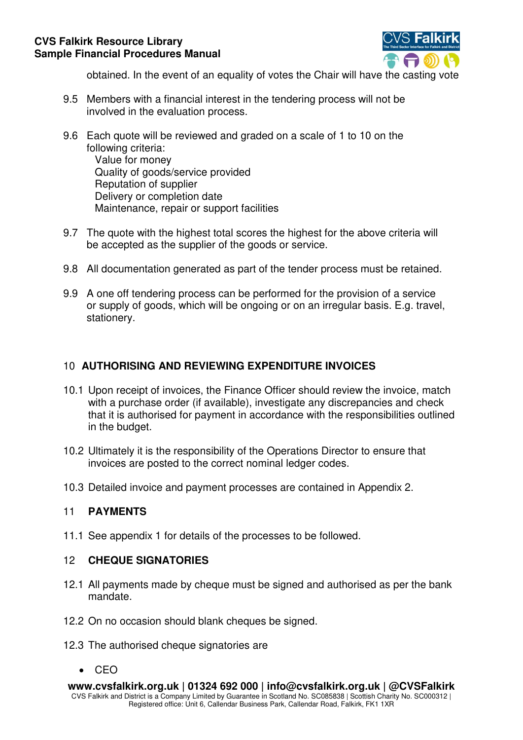

obtained. In the event of an equality of votes the Chair will have the casting vote

- 9.5 Members with a financial interest in the tendering process will not be involved in the evaluation process.
- 9.6 Each quote will be reviewed and graded on a scale of 1 to 10 on the following criteria: Value for money Quality of goods/service provided Reputation of supplier Delivery or completion date Maintenance, repair or support facilities
- 9.7 The quote with the highest total scores the highest for the above criteria will be accepted as the supplier of the goods or service.
- 9.8 All documentation generated as part of the tender process must be retained.
- 9.9 A one off tendering process can be performed for the provision of a service or supply of goods, which will be ongoing or on an irregular basis. E.g. travel, stationery.

### 10 **AUTHORISING AND REVIEWING EXPENDITURE INVOICES**

- 10.1 Upon receipt of invoices, the Finance Officer should review the invoice, match with a purchase order (if available), investigate any discrepancies and check that it is authorised for payment in accordance with the responsibilities outlined in the budget.
- 10.2 Ultimately it is the responsibility of the Operations Director to ensure that invoices are posted to the correct nominal ledger codes.
- 10.3 Detailed invoice and payment processes are contained in Appendix 2.

## 11 **PAYMENTS**

11.1 See appendix 1 for details of the processes to be followed.

#### 12 **CHEQUE SIGNATORIES**

- 12.1 All payments made by cheque must be signed and authorised as per the bank mandate.
- 12.2 On no occasion should blank cheques be signed.
- 12.3 The authorised cheque signatories are
	- $\bullet$  CEO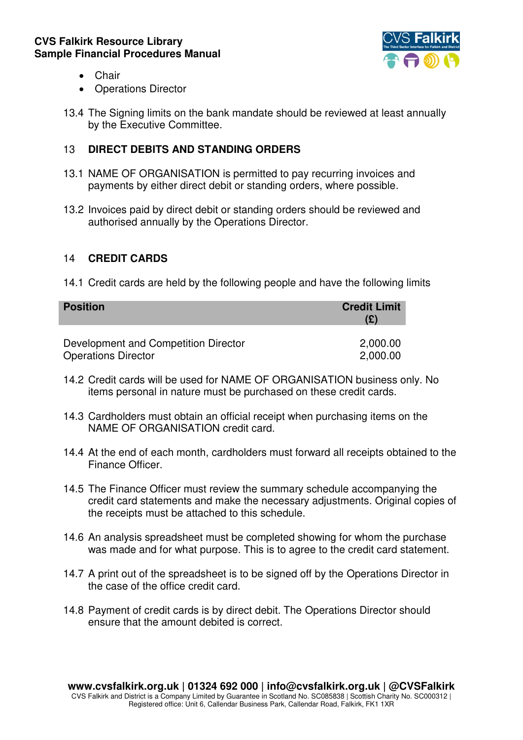

- Chair
- Operations Director
- 13.4 The Signing limits on the bank mandate should be reviewed at least annually by the Executive Committee.

## 13 **DIRECT DEBITS AND STANDING ORDERS**

- 13.1 NAME OF ORGANISATION is permitted to pay recurring invoices and payments by either direct debit or standing orders, where possible.
- 13.2 Invoices paid by direct debit or standing orders should be reviewed and authorised annually by the Operations Director.

### 14 **CREDIT CARDS**

14.1 Credit cards are held by the following people and have the following limits

| <b>Position</b>                      | <b>Credit Limit</b><br>(£) |
|--------------------------------------|----------------------------|
| Development and Competition Director | 2,000.00                   |
| <b>Operations Director</b>           | 2,000.00                   |

- 14.2 Credit cards will be used for NAME OF ORGANISATION business only. No items personal in nature must be purchased on these credit cards.
- 14.3 Cardholders must obtain an official receipt when purchasing items on the NAME OF ORGANISATION credit card.
- 14.4 At the end of each month, cardholders must forward all receipts obtained to the Finance Officer.
- 14.5 The Finance Officer must review the summary schedule accompanying the credit card statements and make the necessary adjustments. Original copies of the receipts must be attached to this schedule.
- 14.6 An analysis spreadsheet must be completed showing for whom the purchase was made and for what purpose. This is to agree to the credit card statement.
- 14.7 A print out of the spreadsheet is to be signed off by the Operations Director in the case of the office credit card.
- 14.8 Payment of credit cards is by direct debit. The Operations Director should ensure that the amount debited is correct.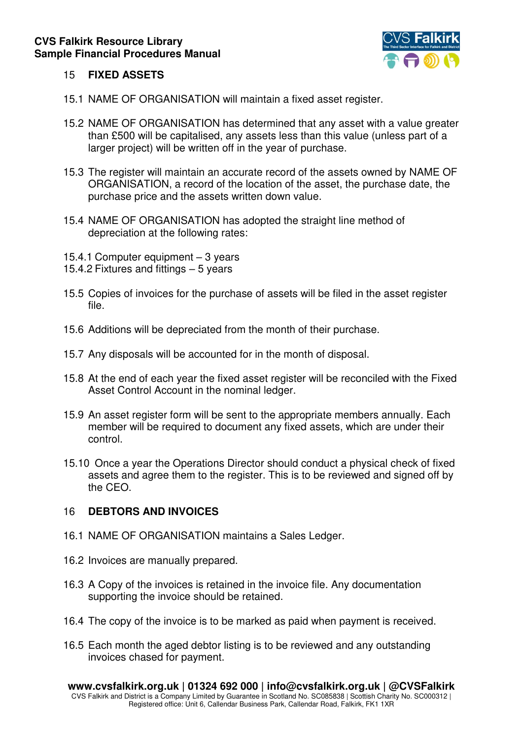

### 15 **FIXED ASSETS**

- 15.1 NAME OF ORGANISATION will maintain a fixed asset register.
- 15.2 NAME OF ORGANISATION has determined that any asset with a value greater than £500 will be capitalised, any assets less than this value (unless part of a larger project) will be written off in the year of purchase.
- 15.3 The register will maintain an accurate record of the assets owned by NAME OF ORGANISATION, a record of the location of the asset, the purchase date, the purchase price and the assets written down value.
- 15.4 NAME OF ORGANISATION has adopted the straight line method of depreciation at the following rates:
- 15.4.1 Computer equipment 3 years
- 15.4.2 Fixtures and fittings 5 years
- 15.5 Copies of invoices for the purchase of assets will be filed in the asset register file.
- 15.6 Additions will be depreciated from the month of their purchase.
- 15.7 Any disposals will be accounted for in the month of disposal.
- 15.8 At the end of each year the fixed asset register will be reconciled with the Fixed Asset Control Account in the nominal ledger.
- 15.9 An asset register form will be sent to the appropriate members annually. Each member will be required to document any fixed assets, which are under their control.
- 15.10 Once a year the Operations Director should conduct a physical check of fixed assets and agree them to the register. This is to be reviewed and signed off by the CEO.

#### 16 **DEBTORS AND INVOICES**

- 16.1 NAME OF ORGANISATION maintains a Sales Ledger.
- 16.2 Invoices are manually prepared.
- 16.3 A Copy of the invoices is retained in the invoice file. Any documentation supporting the invoice should be retained.
- 16.4 The copy of the invoice is to be marked as paid when payment is received.
- 16.5 Each month the aged debtor listing is to be reviewed and any outstanding invoices chased for payment.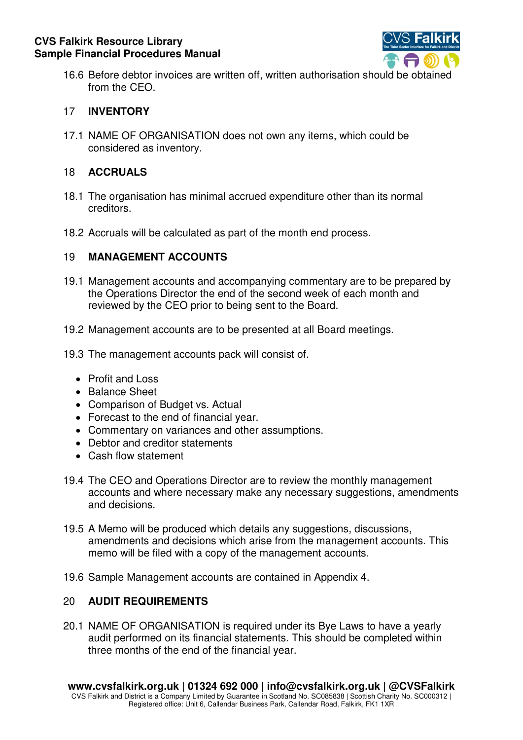

16.6 Before debtor invoices are written off, written authorisation should be obtained from the CEO.

## 17 **INVENTORY**

17.1 NAME OF ORGANISATION does not own any items, which could be considered as inventory.

### 18 **ACCRUALS**

- 18.1 The organisation has minimal accrued expenditure other than its normal creditors.
- 18.2 Accruals will be calculated as part of the month end process.

## 19 **MANAGEMENT ACCOUNTS**

- 19.1 Management accounts and accompanying commentary are to be prepared by the Operations Director the end of the second week of each month and reviewed by the CEO prior to being sent to the Board.
- 19.2 Management accounts are to be presented at all Board meetings.
- 19.3 The management accounts pack will consist of.
	- Profit and Loss
	- Balance Sheet
	- Comparison of Budget vs. Actual
	- Forecast to the end of financial year.
	- Commentary on variances and other assumptions.
	- Debtor and creditor statements
	- Cash flow statement
- 19.4 The CEO and Operations Director are to review the monthly management accounts and where necessary make any necessary suggestions, amendments and decisions.
- 19.5 A Memo will be produced which details any suggestions, discussions, amendments and decisions which arise from the management accounts. This memo will be filed with a copy of the management accounts.
- 19.6 Sample Management accounts are contained in Appendix 4.

## 20 **AUDIT REQUIREMENTS**

20.1 NAME OF ORGANISATION is required under its Bye Laws to have a yearly audit performed on its financial statements. This should be completed within three months of the end of the financial year.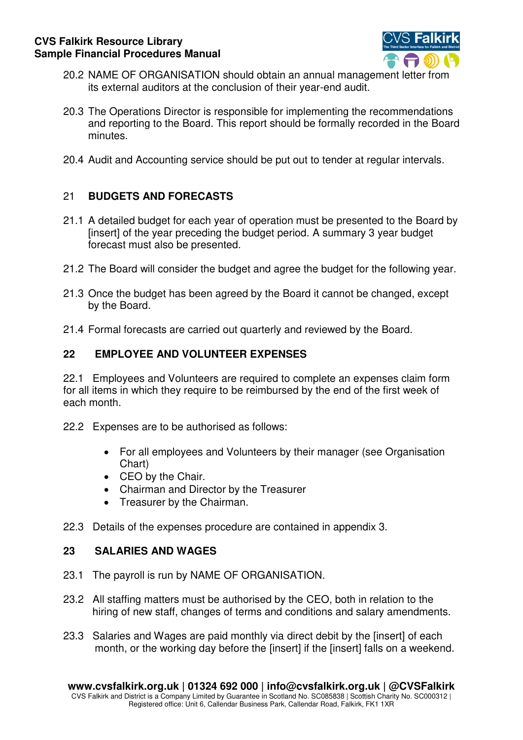

- 20.2 NAME OF ORGANISATION should obtain an annual management letter from its external auditors at the conclusion of their year-end audit.
- 20.3 The Operations Director is responsible for implementing the recommendations and reporting to the Board. This report should be formally recorded in the Board minutes.
- 20.4 Audit and Accounting service should be put out to tender at regular intervals.

# 21 **BUDGETS AND FORECASTS**

- 21.1 A detailed budget for each year of operation must be presented to the Board by [insert] of the year preceding the budget period. A summary 3 year budget forecast must also be presented.
- 21.2 The Board will consider the budget and agree the budget for the following year.
- 21.3 Once the budget has been agreed by the Board it cannot be changed, except by the Board.
- 21.4 Formal forecasts are carried out quarterly and reviewed by the Board.

## **22 EMPLOYEE AND VOLUNTEER EXPENSES**

22.1 Employees and Volunteers are required to complete an expenses claim form for all items in which they require to be reimbursed by the end of the first week of each month.

- 22.2 Expenses are to be authorised as follows:
	- For all employees and Volunteers by their manager (see Organisation Chart)
	- CEO by the Chair.
	- Chairman and Director by the Treasurer
	- Treasurer by the Chairman.
- 22.3 Details of the expenses procedure are contained in appendix 3.

## **23 SALARIES AND WAGES**

- 23.1 The payroll is run by NAME OF ORGANISATION.
- 23.2 All staffing matters must be authorised by the CEO, both in relation to the hiring of new staff, changes of terms and conditions and salary amendments.
- 23.3 Salaries and Wages are paid monthly via direct debit by the [insert] of each month, or the working day before the [insert] if the [insert] falls on a weekend.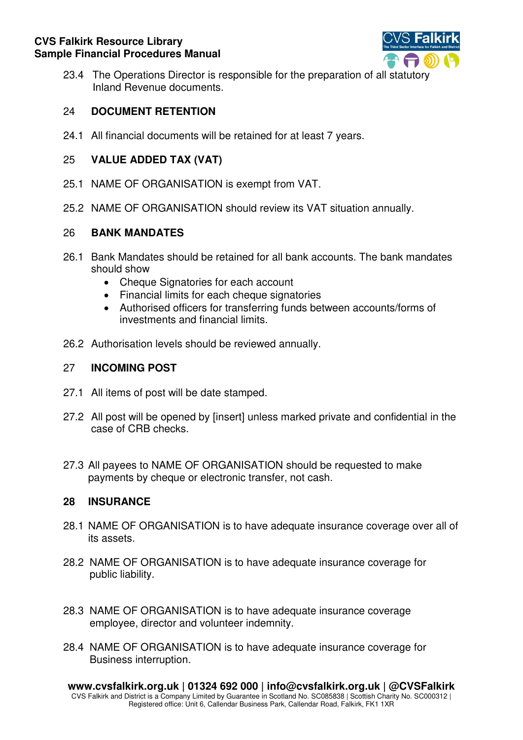

23.4 The Operations Director is responsible for the preparation of all statutory Inland Revenue documents.

### 24 **DOCUMENT RETENTION**

24.1 All financial documents will be retained for at least 7 years.

### 25 **VALUE ADDED TAX (VAT)**

- 25.1 NAME OF ORGANISATION is exempt from VAT.
- 25.2 NAME OF ORGANISATION should review its VAT situation annually.

#### 26 **BANK MANDATES**

- 26.1 Bank Mandates should be retained for all bank accounts. The bank mandates should show
	- Cheque Signatories for each account
	- Financial limits for each cheque signatories
	- Authorised officers for transferring funds between accounts/forms of investments and financial limits.
- 26.2 Authorisation levels should be reviewed annually.

#### 27 **INCOMING POST**

- 27.1 All items of post will be date stamped.
- 27.2 All post will be opened by [insert] unless marked private and confidential in the case of CRB checks.
- 27.3 All payees to NAME OF ORGANISATION should be requested to make payments by cheque or electronic transfer, not cash.

#### **28 INSURANCE**

- 28.1 NAME OF ORGANISATION is to have adequate insurance coverage over all of its assets.
- 28.2 NAME OF ORGANISATION is to have adequate insurance coverage for public liability.
- 28.3 NAME OF ORGANISATION is to have adequate insurance coverage employee, director and volunteer indemnity.
- 28.4 NAME OF ORGANISATION is to have adequate insurance coverage for Business interruption.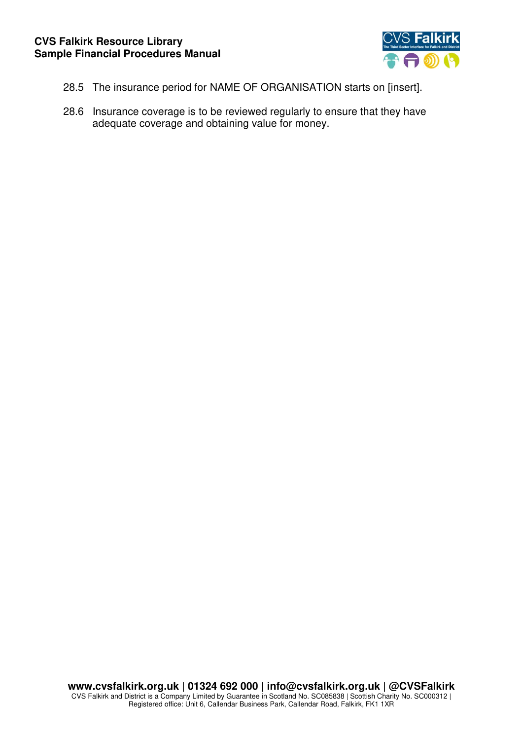

- 28.5 The insurance period for NAME OF ORGANISATION starts on [insert].
- 28.6 Insurance coverage is to be reviewed regularly to ensure that they have adequate coverage and obtaining value for money.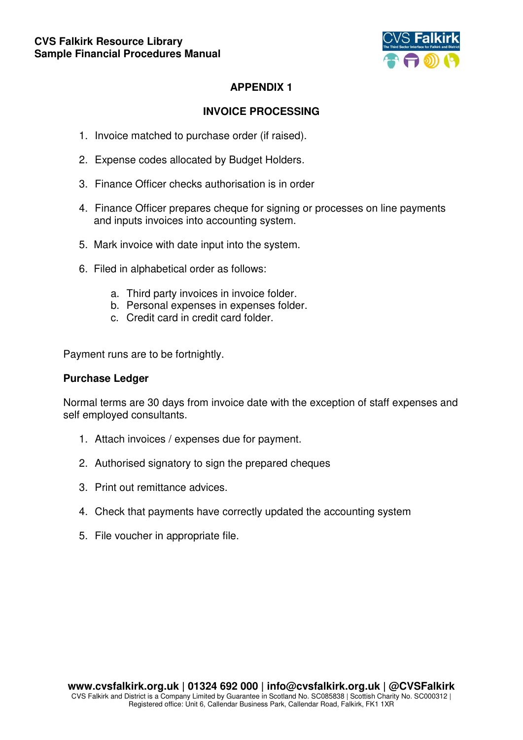

## **APPENDIX 1**

## **INVOICE PROCESSING**

- 1. Invoice matched to purchase order (if raised).
- 2. Expense codes allocated by Budget Holders.
- 3. Finance Officer checks authorisation is in order
- 4. Finance Officer prepares cheque for signing or processes on line payments and inputs invoices into accounting system.
- 5. Mark invoice with date input into the system.
- 6. Filed in alphabetical order as follows:
	- a. Third party invoices in invoice folder.
	- b. Personal expenses in expenses folder.
	- c. Credit card in credit card folder.

Payment runs are to be fortnightly.

#### **Purchase Ledger**

Normal terms are 30 days from invoice date with the exception of staff expenses and self employed consultants.

- 1. Attach invoices / expenses due for payment.
- 2. Authorised signatory to sign the prepared cheques
- 3. Print out remittance advices.
- 4. Check that payments have correctly updated the accounting system
- 5. File voucher in appropriate file.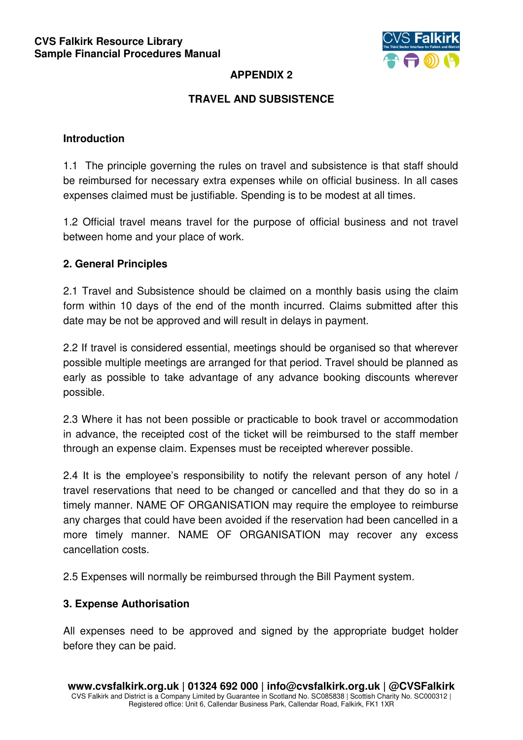

## **APPENDIX 2**

## **TRAVEL AND SUBSISTENCE**

### **Introduction**

1.1 The principle governing the rules on travel and subsistence is that staff should be reimbursed for necessary extra expenses while on official business. In all cases expenses claimed must be justifiable. Spending is to be modest at all times.

1.2 Official travel means travel for the purpose of official business and not travel between home and your place of work.

### **2. General Principles**

2.1 Travel and Subsistence should be claimed on a monthly basis using the claim form within 10 days of the end of the month incurred. Claims submitted after this date may be not be approved and will result in delays in payment.

2.2 If travel is considered essential, meetings should be organised so that wherever possible multiple meetings are arranged for that period. Travel should be planned as early as possible to take advantage of any advance booking discounts wherever possible.

2.3 Where it has not been possible or practicable to book travel or accommodation in advance, the receipted cost of the ticket will be reimbursed to the staff member through an expense claim. Expenses must be receipted wherever possible.

2.4 It is the employee's responsibility to notify the relevant person of any hotel / travel reservations that need to be changed or cancelled and that they do so in a timely manner. NAME OF ORGANISATION may require the employee to reimburse any charges that could have been avoided if the reservation had been cancelled in a more timely manner. NAME OF ORGANISATION may recover any excess cancellation costs.

2.5 Expenses will normally be reimbursed through the Bill Payment system.

## **3. Expense Authorisation**

All expenses need to be approved and signed by the appropriate budget holder before they can be paid.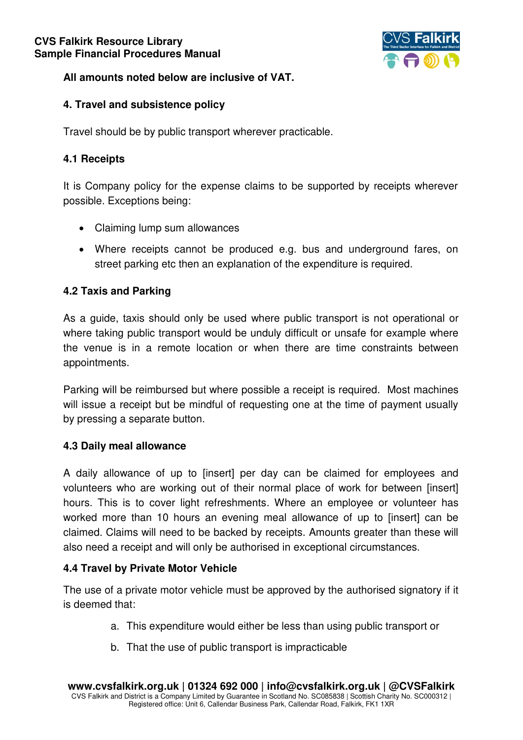

## **All amounts noted below are inclusive of VAT.**

## **4. Travel and subsistence policy**

Travel should be by public transport wherever practicable.

## **4.1 Receipts**

It is Company policy for the expense claims to be supported by receipts wherever possible. Exceptions being:

- Claiming lump sum allowances
- Where receipts cannot be produced e.g. bus and underground fares, on street parking etc then an explanation of the expenditure is required.

## **4.2 Taxis and Parking**

As a guide, taxis should only be used where public transport is not operational or where taking public transport would be unduly difficult or unsafe for example where the venue is in a remote location or when there are time constraints between appointments.

Parking will be reimbursed but where possible a receipt is required. Most machines will issue a receipt but be mindful of requesting one at the time of payment usually by pressing a separate button.

## **4.3 Daily meal allowance**

A daily allowance of up to [insert] per day can be claimed for employees and volunteers who are working out of their normal place of work for between [insert] hours. This is to cover light refreshments. Where an employee or volunteer has worked more than 10 hours an evening meal allowance of up to [insert] can be claimed. Claims will need to be backed by receipts. Amounts greater than these will also need a receipt and will only be authorised in exceptional circumstances.

# **4.4 Travel by Private Motor Vehicle**

The use of a private motor vehicle must be approved by the authorised signatory if it is deemed that:

- a. This expenditure would either be less than using public transport or
- b. That the use of public transport is impracticable